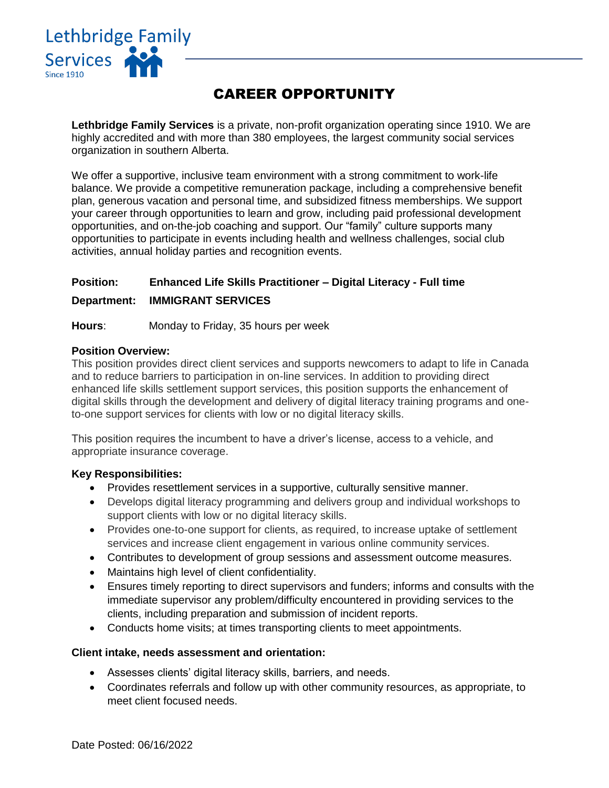

# CAREER OPPORTUNITY

**Lethbridge Family Services** is a private, non-profit organization operating since 1910. We are highly accredited and with more than 380 employees, the largest community social services organization in southern Alberta.

We offer a supportive, inclusive team environment with a strong commitment to work-life balance. We provide a competitive remuneration package, including a comprehensive benefit plan, generous vacation and personal time, and subsidized fitness memberships. We support your career through opportunities to learn and grow, including paid professional development opportunities, and on-the-job coaching and support. Our "family" culture supports many opportunities to participate in events including health and wellness challenges, social club activities, annual holiday parties and recognition events.

# **Position: Enhanced Life Skills Practitioner – Digital Literacy - Full time**

# **Department: IMMIGRANT SERVICES**

**Hours**: Monday to Friday, 35 hours per week

# **Position Overview:**

This position provides direct client services and supports newcomers to adapt to life in Canada and to reduce barriers to participation in on-line services. In addition to providing direct enhanced life skills settlement support services, this position supports the enhancement of digital skills through the development and delivery of digital literacy training programs and oneto-one support services for clients with low or no digital literacy skills.

This position requires the incumbent to have a driver's license, access to a vehicle, and appropriate insurance coverage.

# **Key Responsibilities:**

- Provides resettlement services in a supportive, culturally sensitive manner.
- Develops digital literacy programming and delivers group and individual workshops to support clients with low or no digital literacy skills.
- Provides one-to-one support for clients, as required, to increase uptake of settlement services and increase client engagement in various online community services.
- Contributes to development of group sessions and assessment outcome measures.
- Maintains high level of client confidentiality.
- Ensures timely reporting to direct supervisors and funders; informs and consults with the immediate supervisor any problem/difficulty encountered in providing services to the clients, including preparation and submission of incident reports.
- Conducts home visits; at times transporting clients to meet appointments.

# **Client intake, needs assessment and orientation:**

- Assesses clients' digital literacy skills, barriers, and needs.
- Coordinates referrals and follow up with other community resources, as appropriate, to meet client focused needs.